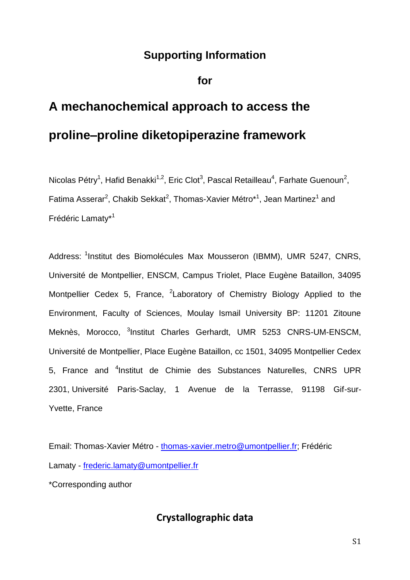## **Supporting Information**

## **for**

## **A mechanochemical approach to access the proline–proline diketopiperazine framework**

Nicolas Pétry<sup>1</sup>, Hafid Benakki<sup>1,2</sup>, Eric Clot<sup>3</sup>, Pascal Retailleau<sup>4</sup>, Farhate Guenoun<sup>2</sup>, Fatima Asserar<sup>2</sup>, Chakib Sekkat<sup>2</sup>, Thomas-Xavier Métro\*<sup>1</sup>, Jean Martinez<sup>1</sup> and Frédéric Lamaty\*<sup>1</sup>

Address: <sup>1</sup>Institut des Biomolécules Max Mousseron (IBMM), UMR 5247, CNRS, Université de Montpellier, ENSCM, Campus Triolet, Place Eugène Bataillon, 34095 Montpellier Cedex 5, France, <sup>2</sup>Laboratory of Chemistry Biology Applied to the Environment, Faculty of Sciences, Moulay Ismail University BP: 11201 Zitoune Meknès, Morocco, <sup>3</sup>Institut Charles Gerhardt, UMR 5253 CNRS-UM-ENSCM, Université de Montpellier, Place Eugène Bataillon, cc 1501, 34095 Montpellier Cedex 5, France and <sup>4</sup>Institut de Chimie des Substances Naturelles, CNRS UPR 2301, Université Paris-Saclay, 1 Avenue de la Terrasse, 91198 Gif-sur-Yvette, France

Email: Thomas-Xavier Métro - [thomas-xavier.metro@umontpellier.fr;](mailto:thomas-xavier.metro@umontpellier.fr) Frédéric Lamaty - [frederic.lamaty@umontpellier.fr](mailto:frederic.lamaty@umontpellier.fr) \*Corresponding author

**Crystallographic data**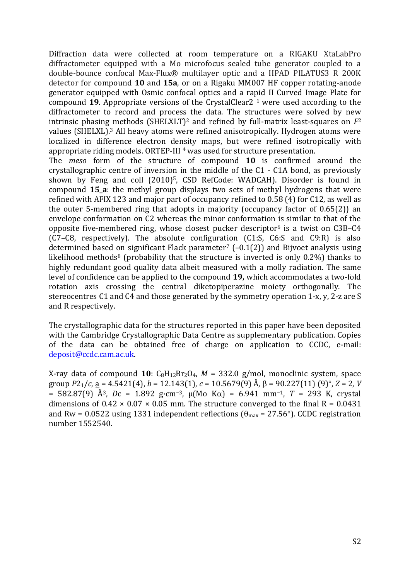Diffraction data were collected at room temperature on a RIGAKU XtaLabPro diffractometer equipped with a Mo microfocus sealed tube generator coupled to a double-bounce confocal Max-Flux® multilayer optic and a HPAD PILATUS3 R 200K detector for compound **10** and **15a**, or on a Rigaku MM007 HF copper rotating-anode generator equipped with Osmic confocal optics and a rapid II Curved Image Plate for compound **19**. Appropriate versions of the CrystalClear2 <sup>1</sup> were used according to the diffractometer to record and process the data. The structures were solved by new intrinsic phasing methods (SHELXLT) <sup>2</sup> and refined by full-matrix least-squares on *F*<sup>2</sup> values (SHELXL).<sup>3</sup> All heavy atoms were refined anisotropically. Hydrogen atoms were localized in difference electron density maps, but were refined isotropically with appropriate riding models. ORTEP-III<sup>4</sup> was used for structure presentation.

The *meso* form of the structure of compound **10** is confirmed around the crystallographic centre of inversion in the middle of the C1 - C1A bond, as previously shown by Feng and coll (2010)5, CSD RefCode: WADCAH). Disorder is found in compound **15\_a**: the methyl group displays two sets of methyl hydrogens that were refined with AFIX 123 and major part of occupancy refined to 0.58 (4) for C12, as well as the outer 5-membered ring that adopts in majority (occupancy factor of 0.65(2)) an envelope conformation on C2 whereas the minor conformation is similar to that of the opposite five-membered ring, whose closest pucker descriptor<sup>6</sup> is a twist on C3B-C4 (C7–C8, respectively). The absolute configuration (C1:S, C6:S and C9:R) is also determined based on significant Flack parameter<sup>7</sup> ( $-0.1(2)$ ) and Bijvoet analysis using likelihood methods<sup>8</sup> (probability that the structure is inverted is only  $0.2\%$ ) thanks to highly redundant good quality data albeit measured with a molly radiation. The same level of confidence can be applied to the compound **19,** which accommodates a two-fold rotation axis crossing the central diketopiperazine moiety orthogonally. The stereocentres C1 and C4 and those generated by the symmetry operation 1-x, y, 2-z are S and R respectively.

The crystallographic data for the structures reported in this paper have been deposited with the Cambridge Crystallographic Data Centre as supplementary publication. Copies of the data can be obtained free of charge on application to CCDC, e-mail: deposit@ccdc.cam.ac.uk.

X-ray data of compound  $10$ :  $C_8H_{12}Br_2O_4$ ,  $M = 332.0$  g/mol, monoclinic system, space group  $P2_1/c$ , <u>a</u> = 4.5421(4), *b* = 12.143(1), *c* = 10.5679(9) Å,  $\beta$  = 90.227(11) (9)°, *Z* = 2, *V* = 582.87(9) Å<sup>3</sup>, *Dc* = 1.892 g·cm<sup>-3</sup>,  $\mu$ (Mo K $\alpha$ ) = 6.941 mm<sup>-1</sup>, *T* = 293 K, crystal dimensions of  $0.42 \times 0.07 \times 0.05$  mm. The structure converged to the final R = 0.0431 and Rw = 0.0522 using 1331 independent reflections ( $\theta_{\text{max}}$  = 27.56°). CCDC registration number 1552540.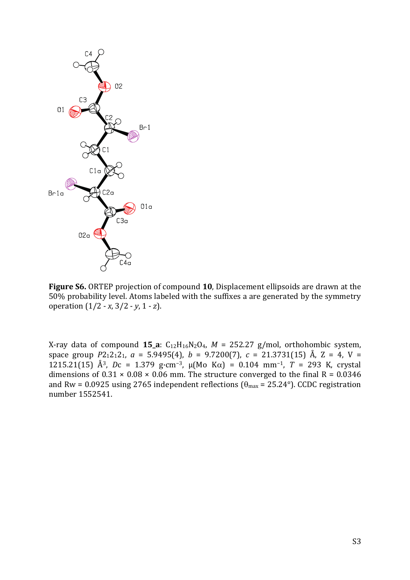

**Figure S6.** ORTEP projection of compound **10**, Displacement ellipsoids are drawn at the 50% probability level. Atoms labeled with the suffixes a are generated by the symmetry operation (1/2 - *x*, 3/2 - *y*, 1 - *z*).

X-ray data of compound  $15_a$ :  $C_{12}H_{16}N_2O_4$ ,  $M = 252.27$  g/mol, orthohombic system, space group  $P2_12_12_1$ ,  $a = 5.9495(4)$ ,  $b = 9.7200(7)$ ,  $c = 21.3731(15)$  Å,  $Z = 4$ ,  $V =$ 1215.21(15) Å<sup>3</sup>, *Dc* = 1.379 g·cm<sup>-3</sup>,  $\mu$ (Mo K $\alpha$ ) = 0.104 mm<sup>-1</sup>, *T* = 293 K, crystal dimensions of  $0.31 \times 0.08 \times 0.06$  mm. The structure converged to the final R = 0.0346 and Rw = 0.0925 using 2765 independent reflections ( $\theta_{\text{max}}$  = 25.24°). CCDC registration number 1552541.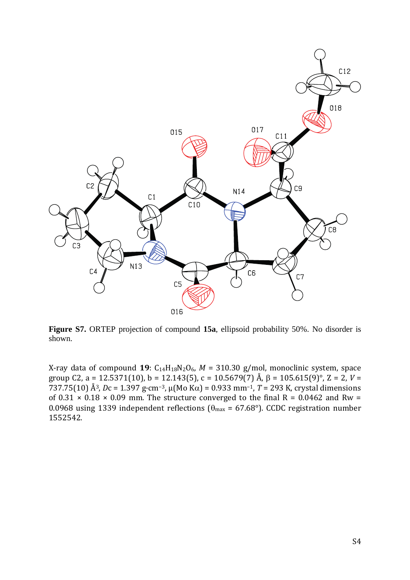

**Figure S7.** ORTEP projection of compound **15a**, ellipsoid probability 50%. No disorder is shown.

X-ray data of compound 19:  $C_{14}H_{18}N_2O_6$ ,  $M = 310.30$  g/mol, monoclinic system, space group C2, a = 12.5371(10), b = 12.143(5), c = 10.5679(7) Å,  $\beta$  = 105.615(9)°, Z = 2, V =  $737.75(10)$  Å<sup>3</sup>, *Dc* = 1.397 g·cm<sup>-3</sup>,  $\mu$ (Mo K $\alpha$ ) = 0.933 mm<sup>-1</sup>, *T* = 293 K, crystal dimensions of  $0.31 \times 0.18 \times 0.09$  mm. The structure converged to the final R = 0.0462 and Rw = 0.0968 using 1339 independent reflections ( $\theta_{\text{max}}$  = 67.68°). CCDC registration number 1552542.